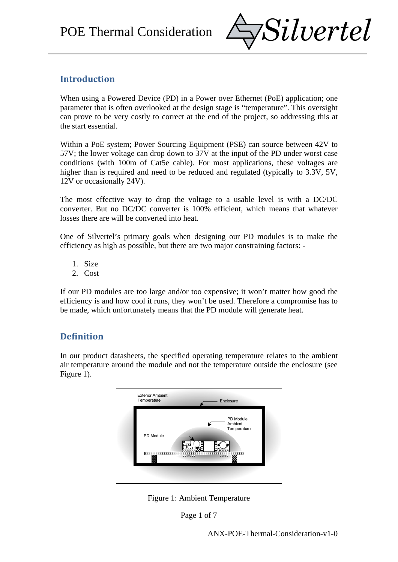

# **Introduction**

When using a Powered Device (PD) in a Power over Ethernet (PoE) application; one parameter that is often overlooked at the design stage is "temperature". This oversight can prove to be very costly to correct at the end of the project, so addressing this at the start essential.

Within a PoE system; Power Sourcing Equipment (PSE) can source between 42V to 57V; the lower voltage can drop down to 37V at the input of the PD under worst case conditions (with 100m of Cat5e cable). For most applications, these voltages are higher than is required and need to be reduced and regulated (typically to 3.3V, 5V, 12V or occasionally 24V).

The most effective way to drop the voltage to a usable level is with a DC/DC converter. But no DC/DC converter is 100% efficient, which means that whatever losses there are will be converted into heat.

One of Silvertel's primary goals when designing our PD modules is to make the efficiency as high as possible, but there are two major constraining factors: -

- 1. Size
- 2. Cost

If our PD modules are too large and/or too expensive; it won't matter how good the efficiency is and how cool it runs, they won't be used. Therefore a compromise has to be made, which unfortunately means that the PD module will generate heat.

### **Definition**

In our product datasheets, the specified operating temperature relates to the ambient air temperature around the module and not the temperature outside the enclosure (see Figure 1).



Figure 1: Ambient Temperature

Page 1 of 7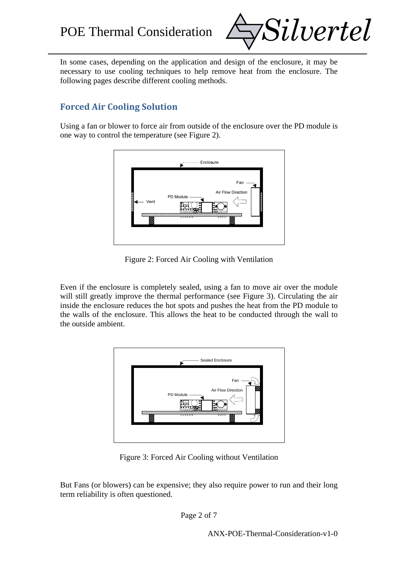

In some cases, depending on the application and design of the enclosure, it may be necessary to use cooling techniques to help remove heat from the enclosure. The following pages describe different cooling methods.

# **Forced Air Cooling Solution**

Using a fan or blower to force air from outside of the enclosure over the PD module is one way to control the temperature (see Figure 2).



Figure 2: Forced Air Cooling with Ventilation

Even if the enclosure is completely sealed, using a fan to move air over the module will still greatly improve the thermal performance (see Figure 3). Circulating the air inside the enclosure reduces the hot spots and pushes the heat from the PD module to the walls of the enclosure. This allows the heat to be conducted through the wall to the outside ambient.



Figure 3: Forced Air Cooling without Ventilation

But Fans (or blowers) can be expensive; they also require power to run and their long term reliability is often questioned.

Page 2 of 7

ANX-POE-Thermal-Consideration-v1-0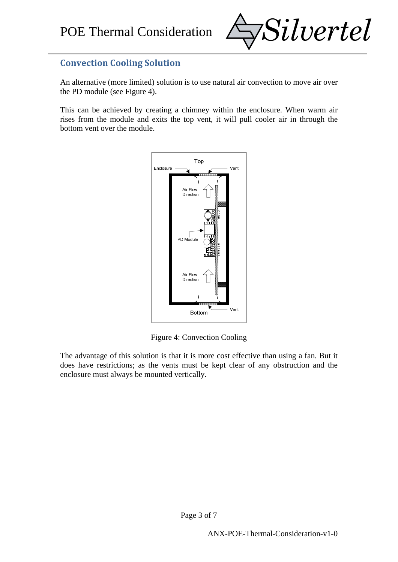

## **Convection Cooling Solution**

An alternative (more limited) solution is to use natural air convection to move air over the PD module (see Figure 4).

This can be achieved by creating a chimney within the enclosure. When warm air rises from the module and exits the top vent, it will pull cooler air in through the bottom vent over the module.



Figure 4: Convection Cooling

The advantage of this solution is that it is more cost effective than using a fan. But it does have restrictions; as the vents must be kept clear of any obstruction and the enclosure must always be mounted vertically.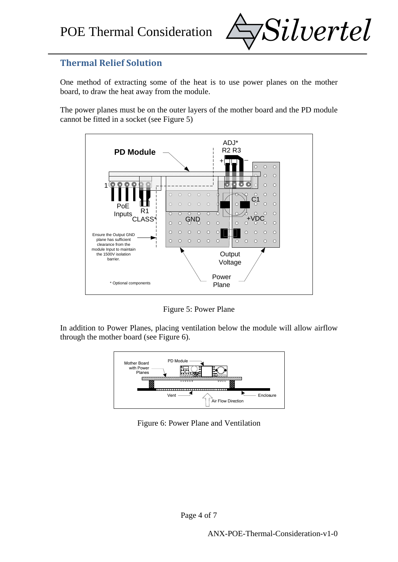

### **Thermal Relief Solution**

One method of extracting some of the heat is to use power planes on the mother board, to draw the heat away from the module.

The power planes must be on the outer layers of the mother board and the PD module cannot be fitted in a socket (see Figure 5)



Figure 5: Power Plane

In addition to Power Planes, placing ventilation below the module will allow airflow through the mother board (see Figure 6).



Figure 6: Power Plane and Ventilation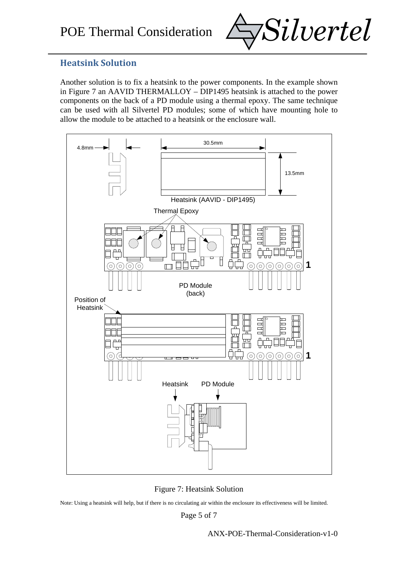

#### **Heatsink Solution**

Another solution is to fix a heatsink to the power components. In the example shown in Figure 7 an AAVID THERMALLOY – DIP1495 heatsink is attached to the power components on the back of a PD module using a thermal epoxy. The same technique can be used with all Silvertel PD modules; some of which have mounting hole to allow the module to be attached to a heatsink or the enclosure wall.



Figure 7: Heatsink Solution

Note: Using a heatsink will help, but if there is no circulating air within the enclosure its effectiveness will be limited.

Page 5 of 7

ANX-POE-Thermal-Consideration-v1-0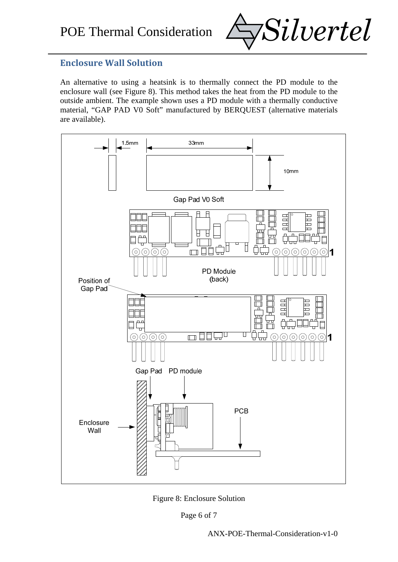

#### **Enclosure Wall Solution**

An alternative to using a heatsink is to thermally connect the PD module to the enclosure wall (see Figure 8). This method takes the heat from the PD module to the outside ambient. The example shown uses a PD module with a thermally conductive material, "GAP PAD V0 Soft" manufactured by BERQUEST (alternative materials are available).



Figure 8: Enclosure Solution

Page 6 of 7